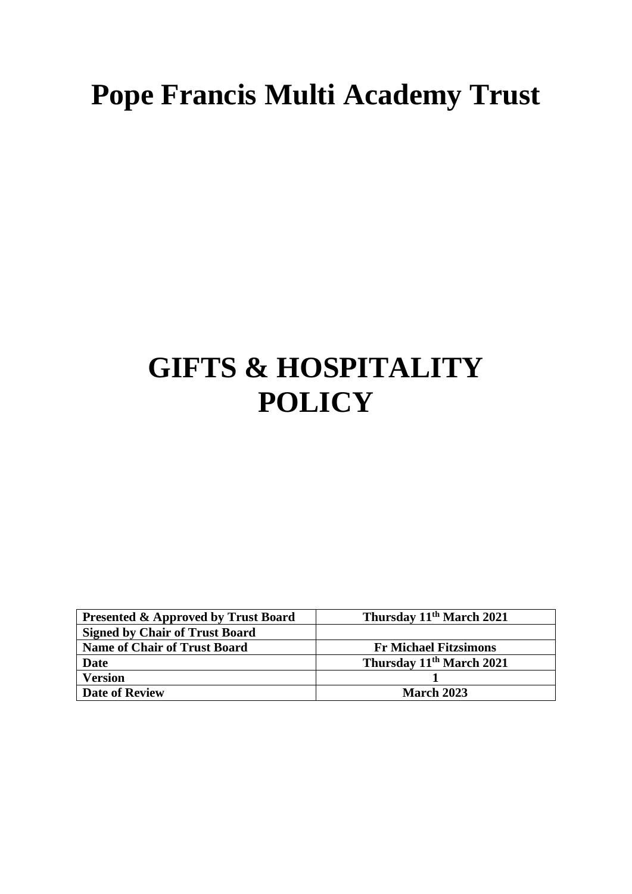# **Pope Francis Multi Academy Trust**

## **GIFTS & HOSPITALITY POLICY**

| <b>Presented &amp; Approved by Trust Board</b> | Thursday 11 <sup>th</sup> March 2021 |
|------------------------------------------------|--------------------------------------|
| <b>Signed by Chair of Trust Board</b>          |                                      |
| <b>Name of Chair of Trust Board</b>            | <b>Fr Michael Fitzsimons</b>         |
| <b>Date</b>                                    | Thursday 11 <sup>th</sup> March 2021 |
| <b>Version</b>                                 |                                      |
| <b>Date of Review</b>                          | March 2023                           |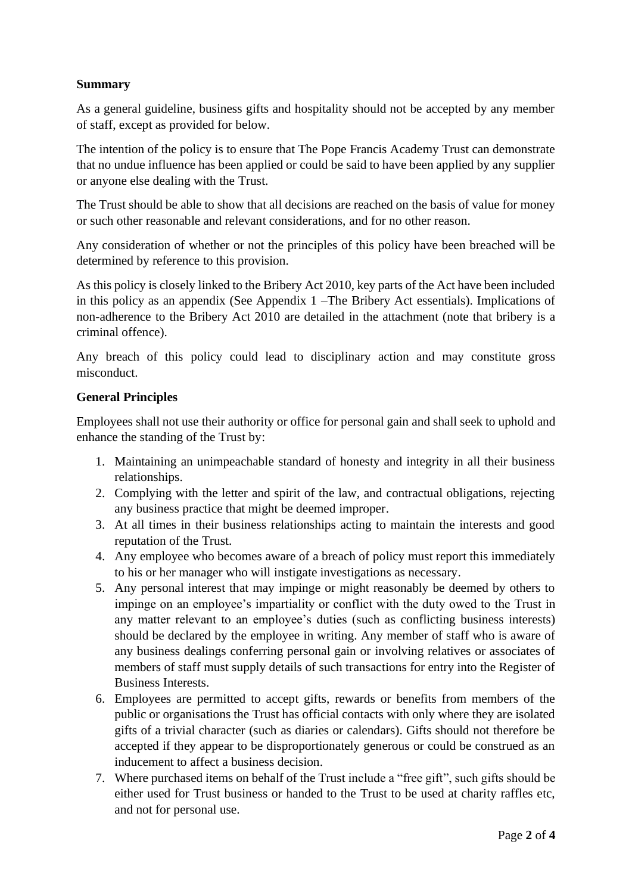#### **Summary**

As a general guideline, business gifts and hospitality should not be accepted by any member of staff, except as provided for below.

The intention of the policy is to ensure that The Pope Francis Academy Trust can demonstrate that no undue influence has been applied or could be said to have been applied by any supplier or anyone else dealing with the Trust.

The Trust should be able to show that all decisions are reached on the basis of value for money or such other reasonable and relevant considerations, and for no other reason.

Any consideration of whether or not the principles of this policy have been breached will be determined by reference to this provision.

As this policy is closely linked to the Bribery Act 2010, key parts of the Act have been included in this policy as an appendix (See Appendix 1 –The Bribery Act essentials). Implications of non-adherence to the Bribery Act 2010 are detailed in the attachment (note that bribery is a criminal offence).

Any breach of this policy could lead to disciplinary action and may constitute gross misconduct.

#### **General Principles**

Employees shall not use their authority or office for personal gain and shall seek to uphold and enhance the standing of the Trust by:

- 1. Maintaining an unimpeachable standard of honesty and integrity in all their business relationships.
- 2. Complying with the letter and spirit of the law, and contractual obligations, rejecting any business practice that might be deemed improper.
- 3. At all times in their business relationships acting to maintain the interests and good reputation of the Trust.
- 4. Any employee who becomes aware of a breach of policy must report this immediately to his or her manager who will instigate investigations as necessary.
- 5. Any personal interest that may impinge or might reasonably be deemed by others to impinge on an employee's impartiality or conflict with the duty owed to the Trust in any matter relevant to an employee's duties (such as conflicting business interests) should be declared by the employee in writing. Any member of staff who is aware of any business dealings conferring personal gain or involving relatives or associates of members of staff must supply details of such transactions for entry into the Register of Business Interests.
- 6. Employees are permitted to accept gifts, rewards or benefits from members of the public or organisations the Trust has official contacts with only where they are isolated gifts of a trivial character (such as diaries or calendars). Gifts should not therefore be accepted if they appear to be disproportionately generous or could be construed as an inducement to affect a business decision.
- 7. Where purchased items on behalf of the Trust include a "free gift", such gifts should be either used for Trust business or handed to the Trust to be used at charity raffles etc, and not for personal use.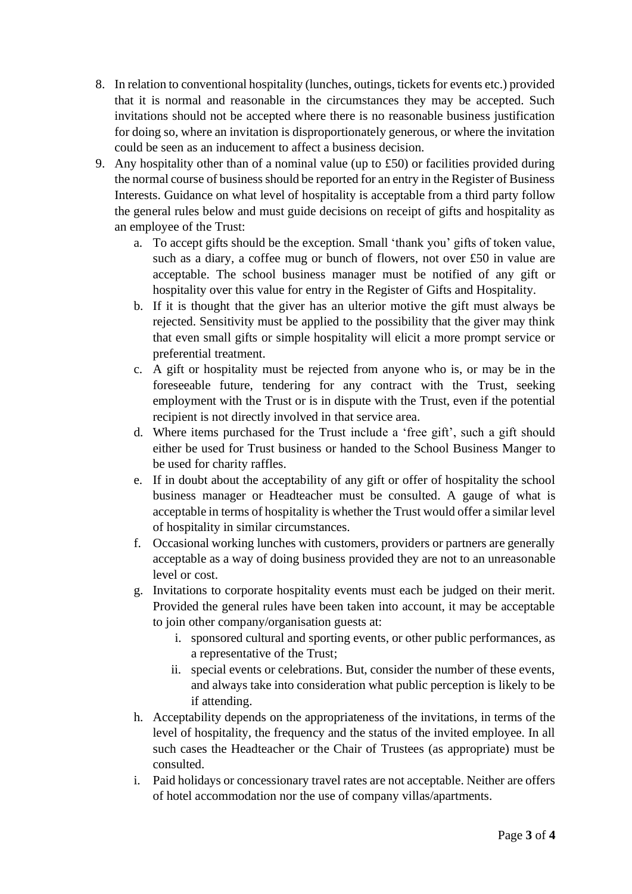- 8. In relation to conventional hospitality (lunches, outings, tickets for events etc.) provided that it is normal and reasonable in the circumstances they may be accepted. Such invitations should not be accepted where there is no reasonable business justification for doing so, where an invitation is disproportionately generous, or where the invitation could be seen as an inducement to affect a business decision.
- 9. Any hospitality other than of a nominal value (up to £50) or facilities provided during the normal course of business should be reported for an entry in the Register of Business Interests. Guidance on what level of hospitality is acceptable from a third party follow the general rules below and must guide decisions on receipt of gifts and hospitality as an employee of the Trust:
	- a. To accept gifts should be the exception. Small 'thank you' gifts of token value, such as a diary, a coffee mug or bunch of flowers, not over £50 in value are acceptable. The school business manager must be notified of any gift or hospitality over this value for entry in the Register of Gifts and Hospitality.
	- b. If it is thought that the giver has an ulterior motive the gift must always be rejected. Sensitivity must be applied to the possibility that the giver may think that even small gifts or simple hospitality will elicit a more prompt service or preferential treatment.
	- c. A gift or hospitality must be rejected from anyone who is, or may be in the foreseeable future, tendering for any contract with the Trust, seeking employment with the Trust or is in dispute with the Trust, even if the potential recipient is not directly involved in that service area.
	- d. Where items purchased for the Trust include a 'free gift', such a gift should either be used for Trust business or handed to the School Business Manger to be used for charity raffles.
	- e. If in doubt about the acceptability of any gift or offer of hospitality the school business manager or Headteacher must be consulted. A gauge of what is acceptable in terms of hospitality is whether the Trust would offer a similar level of hospitality in similar circumstances.
	- f. Occasional working lunches with customers, providers or partners are generally acceptable as a way of doing business provided they are not to an unreasonable level or cost.
	- g. Invitations to corporate hospitality events must each be judged on their merit. Provided the general rules have been taken into account, it may be acceptable to join other company/organisation guests at:
		- i. sponsored cultural and sporting events, or other public performances, as a representative of the Trust;
		- ii. special events or celebrations. But, consider the number of these events, and always take into consideration what public perception is likely to be if attending.
	- h. Acceptability depends on the appropriateness of the invitations, in terms of the level of hospitality, the frequency and the status of the invited employee. In all such cases the Headteacher or the Chair of Trustees (as appropriate) must be consulted.
	- i. Paid holidays or concessionary travel rates are not acceptable. Neither are offers of hotel accommodation nor the use of company villas/apartments.